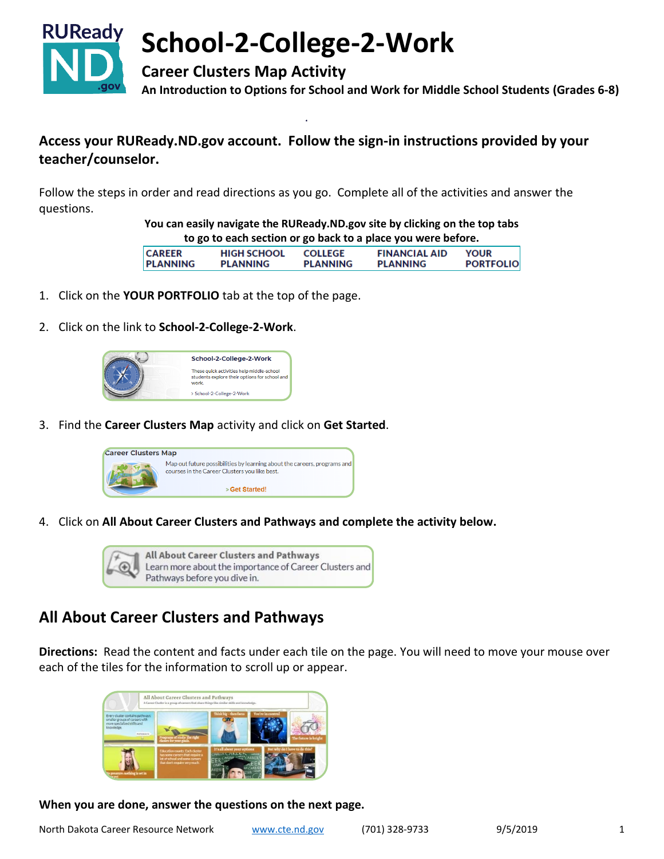

## **Access your RUReady.ND.gov account. Follow the sign-in instructions provided by your teacher/counselor.**

Follow the steps in order and read directions as you go. Complete all of the activities and answer the questions.

> **You can easily navigate the RUReady.ND.gov site by clicking on the top tabs to go to each section or go back to a place you were before.**

| <b>CAREER</b>   | <b>HIGH SCHOOL</b> | <b>COLLEGE</b>  | <b>FINANCIAL AID</b> | <b>YOUR</b>      |
|-----------------|--------------------|-----------------|----------------------|------------------|
|                 |                    |                 |                      |                  |
| <b>PLANNING</b> | <b>PLANNING</b>    | <b>PLANNING</b> | <b>PLANNING</b>      | <b>PORTFOLIO</b> |
|                 |                    |                 |                      |                  |
|                 |                    |                 |                      |                  |

- 1. Click on the **YOUR PORTFOLIO** tab at the top of the page.
- 2. Click on the link to **School-2-College-2-Work**.

| School-2-College-2-Work                                                                             |
|-----------------------------------------------------------------------------------------------------|
| These quick activities help middle-school<br>students explore their options for school and<br>work. |
| > School-2-College-2-Work                                                                           |

3. Find the **Career Clusters Map** activity and click on **Get Started**.



4. Click on **All About Career Clusters and Pathways and complete the activity below.**



# **All About Career Clusters and Pathways**

**Directions:** Read the content and facts under each tile on the page. You will need to move your mouse over each of the tiles for the information to scroll up or appear.



**When you are done, answer the questions on the next page.**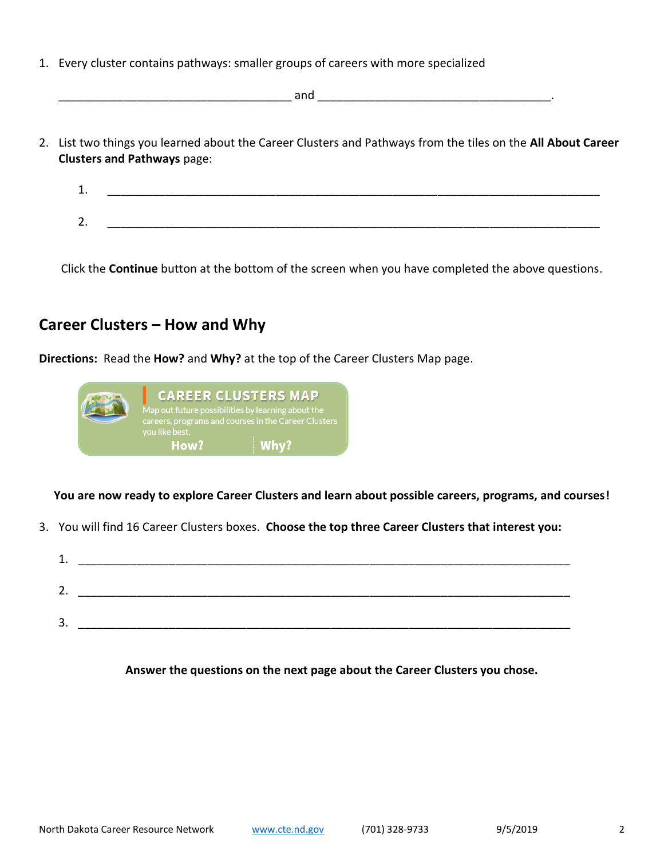- 1. Every cluster contains pathways: smaller groups of careers with more specialized
- $and$ 2. List two things you learned about the Career Clusters and Pathways from the tiles on the **All About Career** 
	- 1. \_\_\_\_\_\_\_\_\_\_\_\_\_\_\_\_\_\_\_\_\_\_\_\_\_\_\_\_\_\_\_\_\_\_\_\_\_\_\_\_\_\_\_\_\_\_\_\_\_\_\_\_\_\_\_\_\_\_\_\_\_\_\_\_\_\_\_\_\_\_\_\_\_\_\_\_  $2.$

Click the **Continue** button at the bottom of the screen when you have completed the above questions.

# **Career Clusters – How and Why**

**Clusters and Pathways** page:

**Directions:** Read the **How?** and **Why?** at the top of the Career Clusters Map page.



**You are now ready to explore Career Clusters and learn about possible careers, programs, and courses!**

- 3. You will find 16 Career Clusters boxes. **Choose the top three Career Clusters that interest you:**
	- 1. \_\_\_\_\_\_\_\_\_\_\_\_\_\_\_\_\_\_\_\_\_\_\_\_\_\_\_\_\_\_\_\_\_\_\_\_\_\_\_\_\_\_\_\_\_\_\_\_\_\_\_\_\_\_\_\_\_\_\_\_\_\_\_\_\_\_\_\_\_\_\_\_\_\_\_\_  $2.$ 3. \_\_\_\_\_\_\_\_\_\_\_\_\_\_\_\_\_\_\_\_\_\_\_\_\_\_\_\_\_\_\_\_\_\_\_\_\_\_\_\_\_\_\_\_\_\_\_\_\_\_\_\_\_\_\_\_\_\_\_\_\_\_\_\_\_\_\_\_\_\_\_\_\_\_\_\_

**Answer the questions on the next page about the Career Clusters you chose.**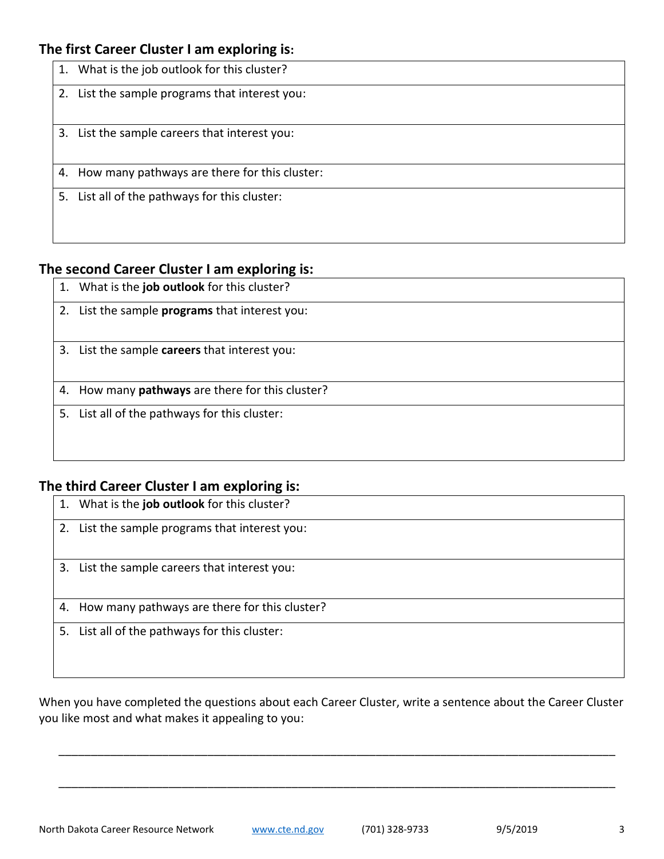#### **The first Career Cluster I am exploring is:**

| 1. What is the job outlook for this cluster?     |
|--------------------------------------------------|
| 2. List the sample programs that interest you:   |
| 3. List the sample careers that interest you:    |
| 4. How many pathways are there for this cluster: |
| 5. List all of the pathways for this cluster:    |

### **The second Career Cluster I am exploring is:**

- 1. What is the **job outlook** for this cluster?
- 2. List the sample **programs** that interest you:
- 3. List the sample **careers** that interest you:

4. How many **pathways** are there for this cluster?

5. List all of the pathways for this cluster:

### **The third Career Cluster I am exploring is:**

|  | 1. What is the job outlook for this cluster? |  |  |  |  |  |
|--|----------------------------------------------|--|--|--|--|--|
|--|----------------------------------------------|--|--|--|--|--|

- 2. List the sample programs that interest you:
- 3. List the sample careers that interest you:
- 4. How many pathways are there for this cluster?
- 5. List all of the pathways for this cluster:

When you have completed the questions about each Career Cluster, write a sentence about the Career Cluster you like most and what makes it appealing to you:

\_\_\_\_\_\_\_\_\_\_\_\_\_\_\_\_\_\_\_\_\_\_\_\_\_\_\_\_\_\_\_\_\_\_\_\_\_\_\_\_\_\_\_\_\_\_\_\_\_\_\_\_\_\_\_\_\_\_\_\_\_\_\_\_\_\_\_\_\_\_\_\_\_\_\_\_\_\_\_\_\_\_\_\_\_\_

\_\_\_\_\_\_\_\_\_\_\_\_\_\_\_\_\_\_\_\_\_\_\_\_\_\_\_\_\_\_\_\_\_\_\_\_\_\_\_\_\_\_\_\_\_\_\_\_\_\_\_\_\_\_\_\_\_\_\_\_\_\_\_\_\_\_\_\_\_\_\_\_\_\_\_\_\_\_\_\_\_\_\_\_\_\_